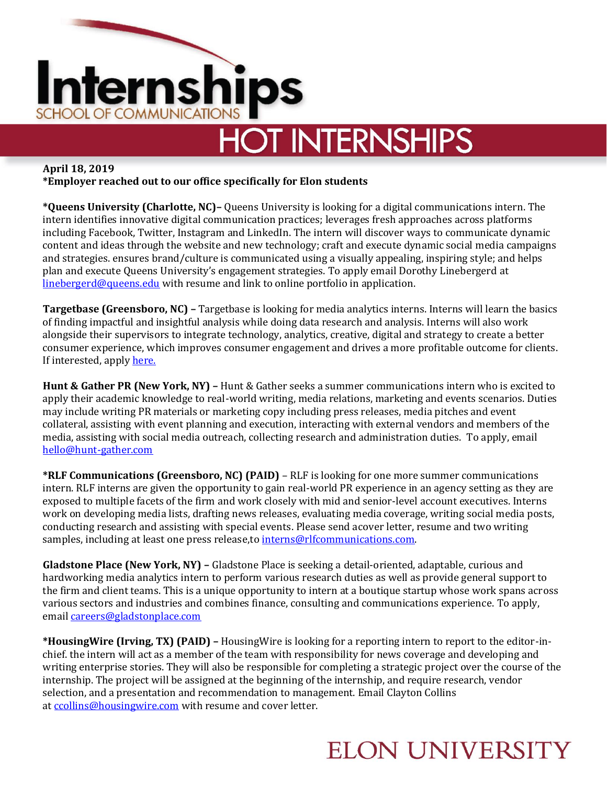

# **HOT INTERNSHIPS**

**April 18, 2019**

**\*Employer reached out to our office specifically for Elon students**

**\*Queens University (Charlotte, NC)–** Queens University is looking for a digital communications intern. The intern identifies innovative digital communication practices; leverages fresh approaches across platforms including Facebook, Twitter, Instagram and LinkedIn. The intern will discover ways to communicate dynamic content and ideas through the website and new technology; craft and execute dynamic social media campaigns and strategies. ensures brand/culture is communicated using a visually appealing, inspiring style; and helps plan and execute Queens University's engagement strategies. To apply email Dorothy Linebergerd at [linebergerd@queens.edu](mailto:linebergerd@queens.edu) with resume and link to online portfolio in application.

**Targetbase (Greensboro, NC) –** Targetbase is looking for media analytics interns. Interns will learn the basics of finding impactful and insightful analysis while doing data research and analysis. Interns will also work alongside their supervisors to integrate technology, analytics, creative, digital and strategy to create a better consumer experience, which improves consumer engagement and drives a more profitable outcome for clients. If interested, apply [here.](https://www.linkup.com/details/bcba6a676ebd9dab60b045fd1884cf2a)

**Hunt & Gather PR (New York, NY) –** Hunt & Gather seeks a summer communications intern who is excited to apply their academic knowledge to real-world writing, media relations, marketing and events scenarios. Duties may include writing PR materials or marketing copy including press releases, media pitches and event collateral, assisting with event planning and execution, interacting with external vendors and members of the media, assisting with social media outreach, collecting research and administration duties. To apply, email [hello@hunt-gather.com](mailto:hello@hunt-gather.com)

**\*RLF Communications (Greensboro, NC) (PAID)** – RLF is looking for one more summer communications intern. RLF interns are given the opportunity to gain real-world PR experience in an agency setting as they are exposed to multiple facets of the firm and work closely with mid and senior-level account executives. Interns work on developing media lists, drafting news releases, evaluating media coverage, writing social media posts, conducting research and assisting with special events. Please send acover letter, resume and two writing samples, including at least one press release, to [interns@rlfcommunications.com.](mailto:interns@rlfcommunications.com)

**Gladstone Place (New York, NY) –** Gladstone Place is seeking a detail-oriented, adaptable, curious and hardworking media analytics intern to perform various research duties as well as provide general support to the firm and client teams. This is a unique opportunity to intern at a boutique startup whose work spans across various sectors and industries and combines finance, consulting and communications experience. To apply, email [careers@gladstonplace.com](mailto:careers@gladstonplace.com)

**\*HousingWire (Irving, TX) (PAID) –** HousingWire is looking for a reporting intern to report to the editor-inchief. the intern will act as a member of the team with responsibility for news coverage and developing and writing enterprise stories. They will also be responsible for completing a strategic project over the course of the internship. The project will be assigned at the beginning of the internship, and require research, vendor selection, and a presentation and recommendation to management. Email Clayton Collins at [ccollins@housingwire.com](mailto:ccollins@housingwire.com) with resume and cover letter.

#### **ELON UNIVERSITY**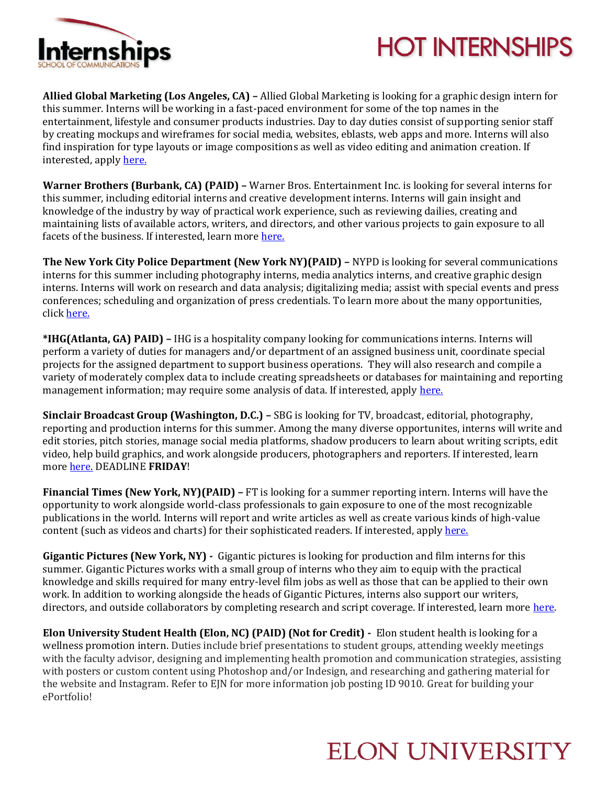

# **HOT INTERNSHIPS**

**Allied Global Marketing (Los Angeles, CA) –** Allied Global Marketing is looking for a graphic design intern for this summer. Interns will be working in a fast-paced environment for some of the top names in the entertainment, lifestyle and consumer products industries. Day to day duties consist of supporting senior staff by creating mockups and wireframes for social media, websites, eblasts, web apps and more. Interns will also find inspiration for type layouts or image compositions as well as video editing and animation creation. If interested, apply [here.](https://www.linkedin.com/jobs/view/1222536585/)

**Warner Brothers (Burbank, CA) (PAID) –** Warner Bros. Entertainment Inc. is looking for several interns for this summer, including editorial interns and creative development interns. Interns will gain insight and knowledge of the industry by way of practical work experience, such as reviewing dailies, creating and maintaining lists of available actors, writers, and directors, and other various projects to gain exposure to all facets of the business. If interested, learn more [here.](https://www.warnerbroscareers.com/find-jobs/)

**The New York City Police Department (New York NY)(PAID) –** NYPD is looking for several communications interns for this summer including photography interns, media analytics interns, and creative graphic design interns. Interns will work on research and data analysis; digitalizing media; assist with special events and press conferences; scheduling and organization of press credentials. To learn more about the many opportunities, click [here.](https://a127-jobs.nyc.gov/psc/nycjobs/EMPLOYEE/HRMS/c/HRS_HRAM.HRS_APP_SCHJOB.GBL?Page=HRS_APP_JBPST&Action=U&FOCUS=Applicant&SiteId=1&JobOpeningId=387518&PostingSeq=1&)

**\*IHG(Atlanta, GA) PAID) –** IHG is a hospitality company looking for communications interns. Interns will perform a variety of duties for managers and/or department of an assigned business unit, coordinate special projects for the assigned department to support business operations. They will also research and compile a variety of moderately complex data to include creating spreadsheets or databases for maintaining and reporting management information; may require some analysis of data. If interested, apply [here.](https://careersearch.ihg.com/en/all/all/job-details-page?jobNumber=R163218) 

**Sinclair Broadcast Group (Washington, D.C.) –** SBG is looking for TV, broadcast, editorial, photography, reporting and production interns for this summer. Among the many diverse opportunites, interns will write and edit stories, pitch stories, manage social media platforms, shadow producers to learn about writing scripts, edit video, help build graphics, and work alongside producers, photographers and reporters. If interested, learn more [here.](https://sbgtv-openhire.silkroad.com/epostings/index.cfm?fuseaction=app.dspjob&jobid=11785&company_id=17011&version=1&jobBoardId=3337) DEADLINE **FRIDAY**!

**Financial Times (New York, NY)(PAID) –** FT is looking for a summer reporting intern. Interns will have the opportunity to work alongside world-class professionals to gain exposure to one of the most recognizable publications in the world. Interns will report and write articles as well as create various kinds of high-value content (such as videos and charts) for their sophisticated readers. If interested, apply [here.](https://www.linkedin.com/jobs/view/1225098951/)

**Gigantic Pictures (New York, NY) -** Gigantic pictures is looking for production and film interns for this summer. Gigantic Pictures works with a small group of interns who they aim to equip with the practical knowledge and skills required for many entry-level film jobs as well as those that can be applied to their own work. In addition to working alongside the heads of Gigantic Pictures, interns also support our writers, directors, and outside collaborators by completing research and script coverage. If interested, learn more here.

**Elon University Student Health (Elon, NC) (PAID) (Not for Credit) -** Elon student health is looking for a wellness promotion intern. Duties include brief presentations to student groups, attending weekly meetings with the faculty advisor, designing and implementing health promotion and communication strategies, assisting with posters or custom content using Photoshop and/or Indesign, and researching and gathering material for the website and Instagram. Refer to EJN for more information job posting ID 9010. Great for building your ePortfolio!

## **ELON UNIVERSITY**